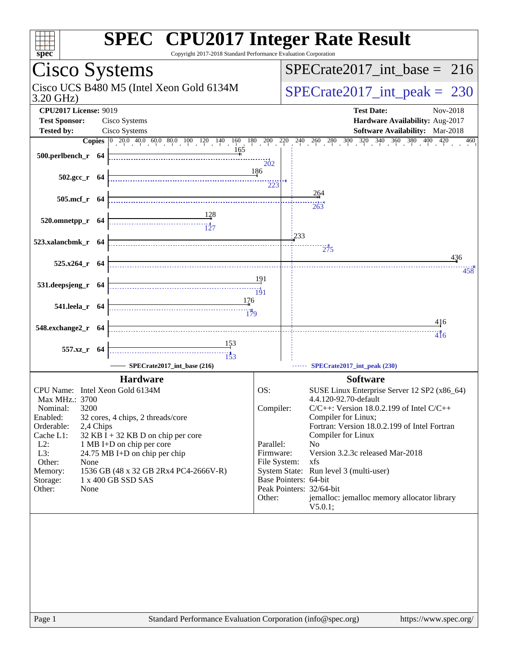| spec <sup>®</sup>                                                                                           | <b>SPEC<sup>®</sup></b> CPU2017 Integer Rate Result<br>Copyright 2017-2018 Standard Performance Evaluation Corporation                                                                   |
|-------------------------------------------------------------------------------------------------------------|------------------------------------------------------------------------------------------------------------------------------------------------------------------------------------------|
| Cisco Systems                                                                                               | $SPECrate2017\_int\_base = 216$                                                                                                                                                          |
| Cisco UCS B480 M5 (Intel Xeon Gold 6134M<br>3.20 GHz)                                                       | $SPECTate2017\_int\_peak = 230$                                                                                                                                                          |
| <b>CPU2017 License: 9019</b><br><b>Test Sponsor:</b><br>Cisco Systems<br><b>Tested by:</b><br>Cisco Systems | <b>Test Date:</b><br>Nov-2018<br>Hardware Availability: Aug-2017<br>Software Availability: Mar-2018                                                                                      |
|                                                                                                             | <b>Copies</b> $\begin{bmatrix} 0 & 20.0 & 40.0 & 60.0 & 80.0 & 100 & 120 & 140 & 160 & 180 & 200 & 220 & 240 & 260 & 280 & 300 & 320 & 340 & 360 & 380 & 400 & 420 \end{bmatrix}$<br>460 |
| 165<br>$500. per lbench_r$ 64 $\overline{\qquad \qquad }$                                                   | $\overline{20}2$                                                                                                                                                                         |
| $502.\text{gcc r}$ 64                                                                                       | -186<br>223                                                                                                                                                                              |
| 505.mcf_r 64                                                                                                | 264                                                                                                                                                                                      |
| $\begin{array}{c c}\n & 128 \\ \hline\n & 127\n\end{array}$<br>520.omnetpp_r 64                             | 263<br> 233                                                                                                                                                                              |
| 523.xalancbmk_r 64                                                                                          | 275                                                                                                                                                                                      |
| 525.x264_r 64                                                                                               | 436<br>458                                                                                                                                                                               |
| 531.deepsjeng_r 64                                                                                          | 191<br>191                                                                                                                                                                               |
| 176<br>541.leela_r 64                                                                                       |                                                                                                                                                                                          |
| 548.exchange2_r 64                                                                                          | 416<br>416                                                                                                                                                                               |
| $\frac{153}{2}$<br>557.xz_r 64<br>$\frac{11}{153}$                                                          |                                                                                                                                                                                          |
| SPECrate2017 int base (216)                                                                                 | SPECrate2017_int_peak (230)                                                                                                                                                              |
| <b>Hardware</b>                                                                                             | <b>Software</b>                                                                                                                                                                          |
| CPU Name: Intel Xeon Gold 6134M                                                                             | OS:<br>SUSE Linux Enterprise Server 12 SP2 (x86_64)                                                                                                                                      |
| Max MHz.: 3700<br>Nominal:<br>3200                                                                          | 4.4.120-92.70-default<br>Compiler:<br>$C/C++$ : Version 18.0.2.199 of Intel $C/C++$                                                                                                      |
| Enabled:<br>32 cores, 4 chips, 2 threads/core                                                               | Compiler for Linux;                                                                                                                                                                      |
| Orderable:<br>2,4 Chips<br>Cache L1:<br>$32$ KB I + 32 KB D on chip per core                                | Fortran: Version 18.0.2.199 of Intel Fortran<br>Compiler for Linux                                                                                                                       |
| $L2$ :<br>1 MB I+D on chip per core                                                                         | Parallel:<br>N <sub>0</sub><br>Firmware:<br>Version 3.2.3c released Mar-2018                                                                                                             |
| L3:<br>24.75 MB I+D on chip per chip<br>Other:<br>None                                                      | File System:<br>xfs                                                                                                                                                                      |
| Memory:<br>1536 GB (48 x 32 GB 2Rx4 PC4-2666V-R)<br>1 x 400 GB SSD SAS<br>Storage:                          | System State: Run level 3 (multi-user)<br>Base Pointers: 64-bit                                                                                                                          |
| Other:<br>None                                                                                              | Peak Pointers: 32/64-bit                                                                                                                                                                 |
|                                                                                                             | Other:<br>jemalloc: jemalloc memory allocator library<br>V5.0.1;                                                                                                                         |
|                                                                                                             |                                                                                                                                                                                          |
|                                                                                                             |                                                                                                                                                                                          |
|                                                                                                             |                                                                                                                                                                                          |
|                                                                                                             |                                                                                                                                                                                          |
|                                                                                                             |                                                                                                                                                                                          |
|                                                                                                             |                                                                                                                                                                                          |
|                                                                                                             |                                                                                                                                                                                          |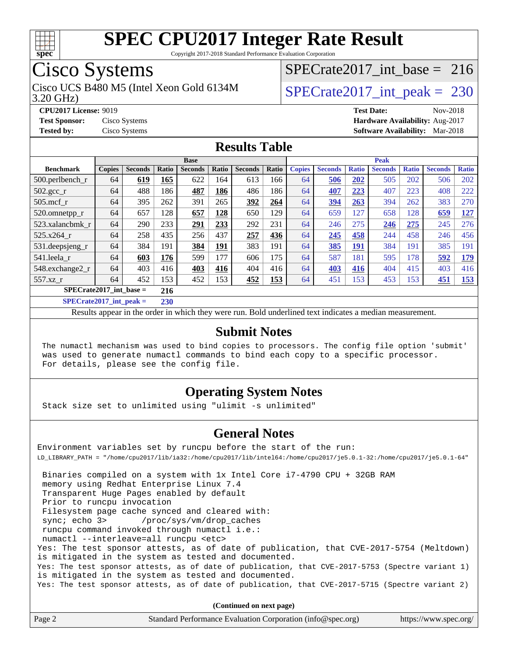

Copyright 2017-2018 Standard Performance Evaluation Corporation

## Cisco Systems

3.20 GHz) Cisco UCS B480 M5 (Intel Xeon Gold 6134M  $SPECTate2017\_int\_peak = 230$ 

[SPECrate2017\\_int\\_base =](http://www.spec.org/auto/cpu2017/Docs/result-fields.html#SPECrate2017intbase) 216

**[CPU2017 License:](http://www.spec.org/auto/cpu2017/Docs/result-fields.html#CPU2017License)** 9019 **[Test Date:](http://www.spec.org/auto/cpu2017/Docs/result-fields.html#TestDate)** Nov-2018 **[Test Sponsor:](http://www.spec.org/auto/cpu2017/Docs/result-fields.html#TestSponsor)** Cisco Systems **[Hardware Availability:](http://www.spec.org/auto/cpu2017/Docs/result-fields.html#HardwareAvailability)** Aug-2017 **[Tested by:](http://www.spec.org/auto/cpu2017/Docs/result-fields.html#Testedby)** Cisco Systems **[Software Availability:](http://www.spec.org/auto/cpu2017/Docs/result-fields.html#SoftwareAvailability)** Mar-2018

#### **[Results Table](http://www.spec.org/auto/cpu2017/Docs/result-fields.html#ResultsTable)**

| <b>Base</b>                        |               |                |       |                | <b>Peak</b> |                |       |               |                |              |                |              |                |              |
|------------------------------------|---------------|----------------|-------|----------------|-------------|----------------|-------|---------------|----------------|--------------|----------------|--------------|----------------|--------------|
| <b>Benchmark</b>                   | <b>Copies</b> | <b>Seconds</b> | Ratio | <b>Seconds</b> | Ratio       | <b>Seconds</b> | Ratio | <b>Copies</b> | <b>Seconds</b> | <b>Ratio</b> | <b>Seconds</b> | <b>Ratio</b> | <b>Seconds</b> | <b>Ratio</b> |
| $500.$ perlbench r                 | 64            | 619            | 165   | 622            | 164         | 613            | 166   | 64            | 506            | 202          | 505            | 202          | 506            | 202          |
| $502.\text{gcc}$ _r                | 64            | 488            | 186   | 487            | 186         | 486            | 186   | 64            | 407            | 223          | 407            | 223          | 408            | 222          |
| $505$ .mcf r                       | 64            | 395            | 262   | 391            | 265         | 392            | 264   | 64            | 394            | 263          | 394            | 262          | 383            | 270          |
| 520.omnetpp_r                      | 64            | 657            | 128   | 657            | 128         | 650            | 129   | 64            | 659            | 127          | 658            | 128          | 659            | 127          |
| 523.xalancbmk r                    | 64            | 290            | 233   | 291            | 233         | 292            | 231   | 64            | 246            | 275          | 246            | 275          | 245            | 276          |
| 525.x264 r                         | 64            | 258            | 435   | 256            | 437         | 257            | 436   | 64            | 245            | 458          | 244            | 458          | 246            | 456          |
| 531.deepsjeng_r                    | 64            | 384            | 191   | 384            | <u>191</u>  | 383            | 191   | 64            | 385            | 191          | 384            | 191          | 385            | 191          |
| 541.leela r                        | 64            | 603            | 176   | 599            | 177         | 606            | 175   | 64            | 587            | 181          | 595            | 178          | 592            | <u>179</u>   |
| 548.exchange2_r                    | 64            | 403            | 416   | 403            | 416         | 404            | 416   | 64            | 403            | 416          | 404            | 415          | 403            | 416          |
| 557.xz r                           | 64            | 452            | 153   | 452            | 153         | 452            | 153   | 64            | 451            | 153          | 453            | 153          | 451            | 153          |
| $SPECrate2017\_int\_base =$<br>216 |               |                |       |                |             |                |       |               |                |              |                |              |                |              |
| $CDFAC = 1.2047 + 1.1$             |               |                | A A   |                |             |                |       |               |                |              |                |              |                |              |

**[SPECrate2017\\_int\\_peak =](http://www.spec.org/auto/cpu2017/Docs/result-fields.html#SPECrate2017intpeak) 230**

Results appear in the [order in which they were run](http://www.spec.org/auto/cpu2017/Docs/result-fields.html#RunOrder). Bold underlined text [indicates a median measurement](http://www.spec.org/auto/cpu2017/Docs/result-fields.html#Median).

#### **[Submit Notes](http://www.spec.org/auto/cpu2017/Docs/result-fields.html#SubmitNotes)**

 The numactl mechanism was used to bind copies to processors. The config file option 'submit' was used to generate numactl commands to bind each copy to a specific processor. For details, please see the config file.

### **[Operating System Notes](http://www.spec.org/auto/cpu2017/Docs/result-fields.html#OperatingSystemNotes)**

Stack size set to unlimited using "ulimit -s unlimited"

### **[General Notes](http://www.spec.org/auto/cpu2017/Docs/result-fields.html#GeneralNotes)**

Environment variables set by runcpu before the start of the run: LD\_LIBRARY\_PATH = "/home/cpu2017/lib/ia32:/home/cpu2017/lib/intel64:/home/cpu2017/je5.0.1-32:/home/cpu2017/je5.0.1-64" Binaries compiled on a system with 1x Intel Core i7-4790 CPU + 32GB RAM memory using Redhat Enterprise Linux 7.4 Transparent Huge Pages enabled by default Prior to runcpu invocation Filesystem page cache synced and cleared with: sync; echo 3> /proc/sys/vm/drop\_caches runcpu command invoked through numactl i.e.: numactl --interleave=all runcpu <etc> Yes: The test sponsor attests, as of date of publication, that CVE-2017-5754 (Meltdown) is mitigated in the system as tested and documented. Yes: The test sponsor attests, as of date of publication, that CVE-2017-5753 (Spectre variant 1) is mitigated in the system as tested and documented. Yes: The test sponsor attests, as of date of publication, that CVE-2017-5715 (Spectre variant 2)

**(Continued on next page)**

| Page 2 | Standard Performance Evaluation Corporation (info@spec.org) | https://www.spec.org/ |
|--------|-------------------------------------------------------------|-----------------------|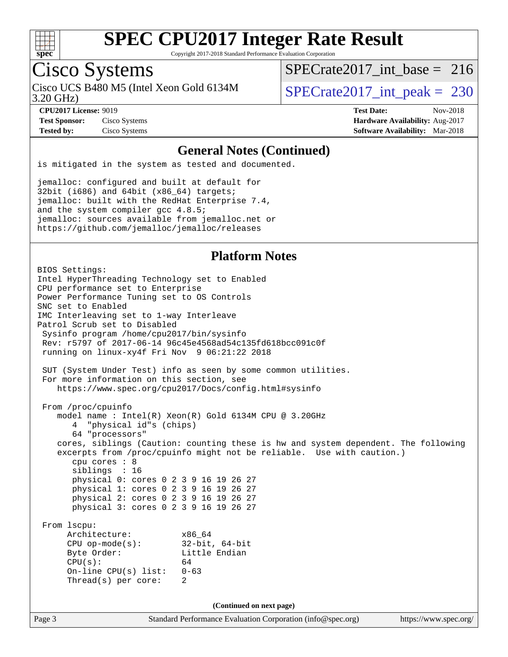

Copyright 2017-2018 Standard Performance Evaluation Corporation

### Cisco Systems

Cisco UCS B480 M5 (Intel Xeon Gold 6134M<br>3.20 GHz)

[SPECrate2017\\_int\\_base =](http://www.spec.org/auto/cpu2017/Docs/result-fields.html#SPECrate2017intbase) 216

 $SPECTate 2017\_int\_peak = 230$ 

**[Test Sponsor:](http://www.spec.org/auto/cpu2017/Docs/result-fields.html#TestSponsor)** Cisco Systems **[Hardware Availability:](http://www.spec.org/auto/cpu2017/Docs/result-fields.html#HardwareAvailability)** Aug-2017

**[CPU2017 License:](http://www.spec.org/auto/cpu2017/Docs/result-fields.html#CPU2017License)** 9019 **[Test Date:](http://www.spec.org/auto/cpu2017/Docs/result-fields.html#TestDate)** Nov-2018 **[Tested by:](http://www.spec.org/auto/cpu2017/Docs/result-fields.html#Testedby)** Cisco Systems **[Software Availability:](http://www.spec.org/auto/cpu2017/Docs/result-fields.html#SoftwareAvailability)** Mar-2018

#### **[General Notes \(Continued\)](http://www.spec.org/auto/cpu2017/Docs/result-fields.html#GeneralNotes)**

is mitigated in the system as tested and documented.

jemalloc: configured and built at default for 32bit (i686) and 64bit (x86\_64) targets; jemalloc: built with the RedHat Enterprise 7.4, and the system compiler gcc 4.8.5; jemalloc: sources available from jemalloc.net or <https://github.com/jemalloc/jemalloc/releases>

#### **[Platform Notes](http://www.spec.org/auto/cpu2017/Docs/result-fields.html#PlatformNotes)**

Page 3 Standard Performance Evaluation Corporation [\(info@spec.org\)](mailto:info@spec.org) <https://www.spec.org/> BIOS Settings: Intel HyperThreading Technology set to Enabled CPU performance set to Enterprise Power Performance Tuning set to OS Controls SNC set to Enabled IMC Interleaving set to 1-way Interleave Patrol Scrub set to Disabled Sysinfo program /home/cpu2017/bin/sysinfo Rev: r5797 of 2017-06-14 96c45e4568ad54c135fd618bcc091c0f running on linux-xy4f Fri Nov 9 06:21:22 2018 SUT (System Under Test) info as seen by some common utilities. For more information on this section, see <https://www.spec.org/cpu2017/Docs/config.html#sysinfo> From /proc/cpuinfo model name : Intel(R) Xeon(R) Gold 6134M CPU @ 3.20GHz 4 "physical id"s (chips) 64 "processors" cores, siblings (Caution: counting these is hw and system dependent. The following excerpts from /proc/cpuinfo might not be reliable. Use with caution.) cpu cores : 8 siblings : 16 physical 0: cores 0 2 3 9 16 19 26 27 physical 1: cores 0 2 3 9 16 19 26 27 physical 2: cores 0 2 3 9 16 19 26 27 physical 3: cores 0 2 3 9 16 19 26 27 From lscpu: Architecture: x86\_64 CPU op-mode(s): 32-bit, 64-bit Byte Order: Little Endian  $CPU(s):$  64 On-line CPU(s) list: 0-63 Thread(s) per core: 2 **(Continued on next page)**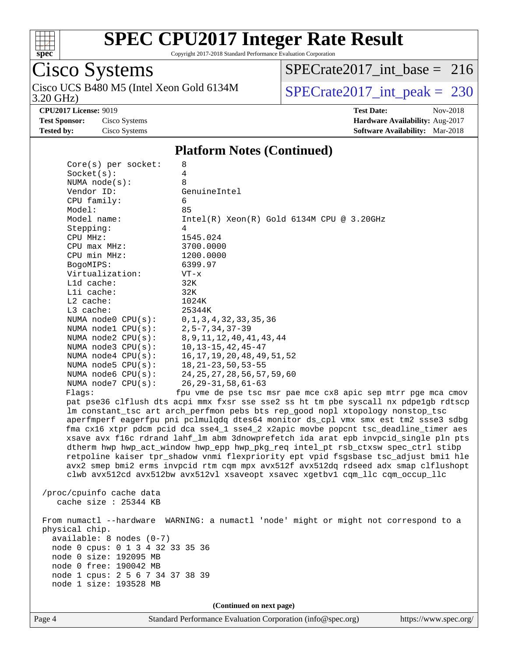

Copyright 2017-2018 Standard Performance Evaluation Corporation

## Cisco Systems

3.20 GHz) Cisco UCS B480 M5 (Intel Xeon Gold 6134M SPECrate  $2017$ \_int\_peak = 230

[SPECrate2017\\_int\\_base =](http://www.spec.org/auto/cpu2017/Docs/result-fields.html#SPECrate2017intbase) 216

**[CPU2017 License:](http://www.spec.org/auto/cpu2017/Docs/result-fields.html#CPU2017License)** 9019 **[Test Date:](http://www.spec.org/auto/cpu2017/Docs/result-fields.html#TestDate)** Nov-2018 **[Test Sponsor:](http://www.spec.org/auto/cpu2017/Docs/result-fields.html#TestSponsor)** Cisco Systems **[Hardware Availability:](http://www.spec.org/auto/cpu2017/Docs/result-fields.html#HardwareAvailability)** Aug-2017 **[Tested by:](http://www.spec.org/auto/cpu2017/Docs/result-fields.html#Testedby)** Cisco Systems **[Software Availability:](http://www.spec.org/auto/cpu2017/Docs/result-fields.html#SoftwareAvailability)** Mar-2018

#### **[Platform Notes \(Continued\)](http://www.spec.org/auto/cpu2017/Docs/result-fields.html#PlatformNotes)**

|                                                     | $Core(s)$ per socket:            | 8<br>4                                                                                                                                                                                                                                                                                                                                                                                                                                                                                                                                                                                                                                                                                                                                                                                                                                                        |
|-----------------------------------------------------|----------------------------------|---------------------------------------------------------------------------------------------------------------------------------------------------------------------------------------------------------------------------------------------------------------------------------------------------------------------------------------------------------------------------------------------------------------------------------------------------------------------------------------------------------------------------------------------------------------------------------------------------------------------------------------------------------------------------------------------------------------------------------------------------------------------------------------------------------------------------------------------------------------|
| Socket(s):                                          |                                  | 8                                                                                                                                                                                                                                                                                                                                                                                                                                                                                                                                                                                                                                                                                                                                                                                                                                                             |
| NUMA $node(s)$ :<br>Vendor ID:                      |                                  | GenuineIntel                                                                                                                                                                                                                                                                                                                                                                                                                                                                                                                                                                                                                                                                                                                                                                                                                                                  |
| CPU family:                                         |                                  | 6                                                                                                                                                                                                                                                                                                                                                                                                                                                                                                                                                                                                                                                                                                                                                                                                                                                             |
| Model:                                              |                                  | 85                                                                                                                                                                                                                                                                                                                                                                                                                                                                                                                                                                                                                                                                                                                                                                                                                                                            |
| Model name:                                         |                                  | $Intel(R) Xeon(R) Gold 6134M CPU @ 3.20GHz$                                                                                                                                                                                                                                                                                                                                                                                                                                                                                                                                                                                                                                                                                                                                                                                                                   |
| Stepping:                                           |                                  | 4                                                                                                                                                                                                                                                                                                                                                                                                                                                                                                                                                                                                                                                                                                                                                                                                                                                             |
| CPU MHz:                                            |                                  | 1545.024                                                                                                                                                                                                                                                                                                                                                                                                                                                                                                                                                                                                                                                                                                                                                                                                                                                      |
| $CPU$ $max$ $MHz$ :                                 |                                  | 3700.0000                                                                                                                                                                                                                                                                                                                                                                                                                                                                                                                                                                                                                                                                                                                                                                                                                                                     |
| CPU min MHz:                                        |                                  | 1200.0000                                                                                                                                                                                                                                                                                                                                                                                                                                                                                                                                                                                                                                                                                                                                                                                                                                                     |
| BogoMIPS:                                           |                                  | 6399.97                                                                                                                                                                                                                                                                                                                                                                                                                                                                                                                                                                                                                                                                                                                                                                                                                                                       |
| Virtualization:                                     |                                  | $VT - x$                                                                                                                                                                                                                                                                                                                                                                                                                                                                                                                                                                                                                                                                                                                                                                                                                                                      |
| L1d cache:                                          |                                  | 32K                                                                                                                                                                                                                                                                                                                                                                                                                                                                                                                                                                                                                                                                                                                                                                                                                                                           |
| Lli cache:                                          |                                  | 32K                                                                                                                                                                                                                                                                                                                                                                                                                                                                                                                                                                                                                                                                                                                                                                                                                                                           |
| $L2$ cache:                                         |                                  | 1024K                                                                                                                                                                                                                                                                                                                                                                                                                                                                                                                                                                                                                                                                                                                                                                                                                                                         |
| L3 cache:                                           |                                  | 25344K                                                                                                                                                                                                                                                                                                                                                                                                                                                                                                                                                                                                                                                                                                                                                                                                                                                        |
|                                                     | NUMA node0 CPU(s):               | 0, 1, 3, 4, 32, 33, 35, 36                                                                                                                                                                                                                                                                                                                                                                                                                                                                                                                                                                                                                                                                                                                                                                                                                                    |
|                                                     | NUMA nodel CPU(s):               | $2, 5 - 7, 34, 37 - 39$                                                                                                                                                                                                                                                                                                                                                                                                                                                                                                                                                                                                                                                                                                                                                                                                                                       |
|                                                     | NUMA $node2$ $CPU(s)$ :          | 8, 9, 11, 12, 40, 41, 43, 44                                                                                                                                                                                                                                                                                                                                                                                                                                                                                                                                                                                                                                                                                                                                                                                                                                  |
|                                                     | NUMA $node3$ $CPU(s):$           | $10, 13 - 15, 42, 45 - 47$                                                                                                                                                                                                                                                                                                                                                                                                                                                                                                                                                                                                                                                                                                                                                                                                                                    |
|                                                     | NUMA node4 CPU(s):               | 16, 17, 19, 20, 48, 49, 51, 52                                                                                                                                                                                                                                                                                                                                                                                                                                                                                                                                                                                                                                                                                                                                                                                                                                |
|                                                     | NUMA $node5$ $CPU(s):$           | $18, 21 - 23, 50, 53 - 55$                                                                                                                                                                                                                                                                                                                                                                                                                                                                                                                                                                                                                                                                                                                                                                                                                                    |
|                                                     | NUMA node6 CPU(s):               | 24, 25, 27, 28, 56, 57, 59, 60                                                                                                                                                                                                                                                                                                                                                                                                                                                                                                                                                                                                                                                                                                                                                                                                                                |
|                                                     | NUMA $node7$ CPU $(s)$ :         | $26, 29 - 31, 58, 61 - 63$                                                                                                                                                                                                                                                                                                                                                                                                                                                                                                                                                                                                                                                                                                                                                                                                                                    |
| Flaqs:                                              |                                  | fpu vme de pse tsc msr pae mce cx8 apic sep mtrr pge mca cmov<br>pat pse36 clflush dts acpi mmx fxsr sse sse2 ss ht tm pbe syscall nx pdpe1gb rdtscp<br>lm constant_tsc art arch_perfmon pebs bts rep_good nopl xtopology nonstop_tsc<br>aperfmperf eagerfpu pni pclmulqdq dtes64 monitor ds_cpl vmx smx est tm2 ssse3 sdbg<br>fma cx16 xtpr pdcm pcid dca sse4_1 sse4_2 x2apic movbe popcnt tsc_deadline_timer aes<br>xsave avx f16c rdrand lahf_lm abm 3dnowprefetch ida arat epb invpcid_single pln pts<br>dtherm hwp hwp_act_window hwp_epp hwp_pkg_req intel_pt rsb_ctxsw spec_ctrl stibp<br>retpoline kaiser tpr_shadow vnmi flexpriority ept vpid fsgsbase tsc_adjust bmil hle<br>avx2 smep bmi2 erms invpcid rtm cqm mpx avx512f avx512dq rdseed adx smap clflushopt<br>clwb avx512cd avx512bw avx512vl xsaveopt xsavec xgetbvl cqm_llc cqm_occup_llc |
| /proc/cpuinfo cache data<br>cache size $: 25344$ KB |                                  |                                                                                                                                                                                                                                                                                                                                                                                                                                                                                                                                                                                                                                                                                                                                                                                                                                                               |
|                                                     |                                  | From numactl --hardware WARNING: a numactl 'node' might or might not correspond to a                                                                                                                                                                                                                                                                                                                                                                                                                                                                                                                                                                                                                                                                                                                                                                          |
| physical chip.                                      |                                  |                                                                                                                                                                                                                                                                                                                                                                                                                                                                                                                                                                                                                                                                                                                                                                                                                                                               |
|                                                     | $available: 8 nodes (0-7)$       |                                                                                                                                                                                                                                                                                                                                                                                                                                                                                                                                                                                                                                                                                                                                                                                                                                                               |
|                                                     | node 0 cpus: 0 1 3 4 32 33 35 36 |                                                                                                                                                                                                                                                                                                                                                                                                                                                                                                                                                                                                                                                                                                                                                                                                                                                               |
| node 0 size: 192095 MB<br>node 0 free: 190042 MB    |                                  |                                                                                                                                                                                                                                                                                                                                                                                                                                                                                                                                                                                                                                                                                                                                                                                                                                                               |
|                                                     | node 1 cpus: 2 5 6 7 34 37 38 39 |                                                                                                                                                                                                                                                                                                                                                                                                                                                                                                                                                                                                                                                                                                                                                                                                                                                               |
| node 1 size: 193528 MB                              |                                  |                                                                                                                                                                                                                                                                                                                                                                                                                                                                                                                                                                                                                                                                                                                                                                                                                                                               |
|                                                     |                                  |                                                                                                                                                                                                                                                                                                                                                                                                                                                                                                                                                                                                                                                                                                                                                                                                                                                               |
|                                                     |                                  | (Continued on next page)                                                                                                                                                                                                                                                                                                                                                                                                                                                                                                                                                                                                                                                                                                                                                                                                                                      |
|                                                     |                                  |                                                                                                                                                                                                                                                                                                                                                                                                                                                                                                                                                                                                                                                                                                                                                                                                                                                               |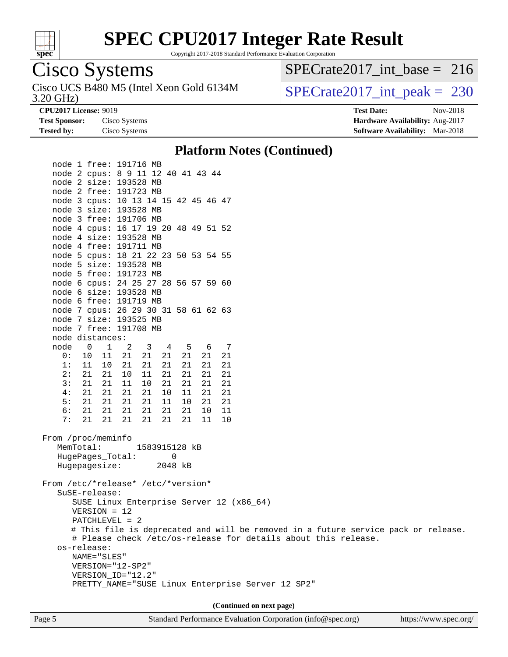

Copyright 2017-2018 Standard Performance Evaluation Corporation

### Cisco Systems

3.20 GHz) Cisco UCS B480 M5 (Intel Xeon Gold 6134M  $SPECTate2017\_int\_peak = 230$ 

[SPECrate2017\\_int\\_base =](http://www.spec.org/auto/cpu2017/Docs/result-fields.html#SPECrate2017intbase) 216

**[Test Sponsor:](http://www.spec.org/auto/cpu2017/Docs/result-fields.html#TestSponsor)** Cisco Systems **[Hardware Availability:](http://www.spec.org/auto/cpu2017/Docs/result-fields.html#HardwareAvailability)** Aug-2017

**[CPU2017 License:](http://www.spec.org/auto/cpu2017/Docs/result-fields.html#CPU2017License)** 9019 **[Test Date:](http://www.spec.org/auto/cpu2017/Docs/result-fields.html#TestDate)** Nov-2018 **[Tested by:](http://www.spec.org/auto/cpu2017/Docs/result-fields.html#Testedby)** Cisco Systems **[Software Availability:](http://www.spec.org/auto/cpu2017/Docs/result-fields.html#SoftwareAvailability)** Mar-2018

#### **[Platform Notes \(Continued\)](http://www.spec.org/auto/cpu2017/Docs/result-fields.html#PlatformNotes)**

 node 1 free: 191716 MB node 2 cpus: 8 9 11 12 40 41 43 44 node 2 size: 193528 MB node 2 free: 191723 MB node 3 cpus: 10 13 14 15 42 45 46 47 node 3 size: 193528 MB node 3 free: 191706 MB node 4 cpus: 16 17 19 20 48 49 51 52 node 4 size: 193528 MB node 4 free: 191711 MB node 5 cpus: 18 21 22 23 50 53 54 55 node 5 size: 193528 MB node 5 free: 191723 MB node 6 cpus: 24 25 27 28 56 57 59 60 node 6 size: 193528 MB node 6 free: 191719 MB node 7 cpus: 26 29 30 31 58 61 62 63 node 7 size: 193525 MB node 7 free: 191708 MB node distances: node 0 1 2 3 4 5 6 7 0: 10 11 21 21 21 21 21 21 1: 11 10 21 21 21 21 21 21 2: 21 21 10 11 21 21 21 21 3: 21 21 11 10 21 21 21 21 4: 21 21 21 21 10 11 21 21 5: 21 21 21 21 11 10 21 21 6: 21 21 21 21 21 21 10 11 7: 21 21 21 21 21 21 11 10 From /proc/meminfo MemTotal: 1583915128 kB HugePages\_Total: 0 Hugepagesize: 2048 kB From /etc/\*release\* /etc/\*version\* SuSE-release: SUSE Linux Enterprise Server 12 (x86\_64) VERSION = 12 PATCHLEVEL = 2 # This file is deprecated and will be removed in a future service pack or release. # Please check /etc/os-release for details about this release. os-release: NAME="SLES" VERSION="12-SP2" VERSION\_ID="12.2" PRETTY\_NAME="SUSE Linux Enterprise Server 12 SP2" **(Continued on next page)**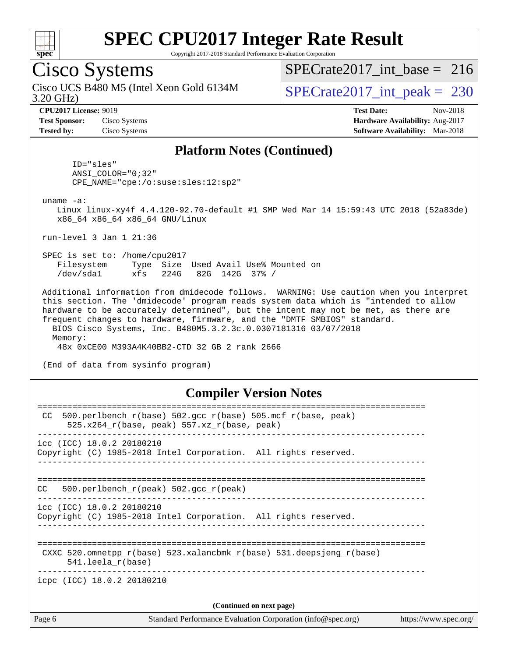

Copyright 2017-2018 Standard Performance Evaluation Corporation

### Cisco Systems

3.20 GHz) Cisco UCS B480 M5 (Intel Xeon Gold 6134M SPECrate 2017\_int\_peak = 230

[SPECrate2017\\_int\\_base =](http://www.spec.org/auto/cpu2017/Docs/result-fields.html#SPECrate2017intbase) 216

**[Test Sponsor:](http://www.spec.org/auto/cpu2017/Docs/result-fields.html#TestSponsor)** Cisco Systems **[Hardware Availability:](http://www.spec.org/auto/cpu2017/Docs/result-fields.html#HardwareAvailability)** Aug-2017

**[CPU2017 License:](http://www.spec.org/auto/cpu2017/Docs/result-fields.html#CPU2017License)** 9019 **[Test Date:](http://www.spec.org/auto/cpu2017/Docs/result-fields.html#TestDate)** Nov-2018 **[Tested by:](http://www.spec.org/auto/cpu2017/Docs/result-fields.html#Testedby)** Cisco Systems **[Software Availability:](http://www.spec.org/auto/cpu2017/Docs/result-fields.html#SoftwareAvailability)** Mar-2018

#### **[Platform Notes \(Continued\)](http://www.spec.org/auto/cpu2017/Docs/result-fields.html#PlatformNotes)**

 ID="sles" ANSI\_COLOR="0;32" CPE\_NAME="cpe:/o:suse:sles:12:sp2"

uname -a:

 Linux linux-xy4f 4.4.120-92.70-default #1 SMP Wed Mar 14 15:59:43 UTC 2018 (52a83de) x86\_64 x86\_64 x86\_64 GNU/Linux

run-level 3 Jan 1 21:36

 SPEC is set to: /home/cpu2017 Filesystem Type Size Used Avail Use% Mounted on /dev/sda1 xfs 224G 82G 142G 37% /

 Additional information from dmidecode follows. WARNING: Use caution when you interpret this section. The 'dmidecode' program reads system data which is "intended to allow hardware to be accurately determined", but the intent may not be met, as there are frequent changes to hardware, firmware, and the "DMTF SMBIOS" standard. BIOS Cisco Systems, Inc. B480M5.3.2.3c.0.0307181316 03/07/2018 Memory:

48x 0xCE00 M393A4K40BB2-CTD 32 GB 2 rank 2666

(End of data from sysinfo program)

#### **[Compiler Version Notes](http://www.spec.org/auto/cpu2017/Docs/result-fields.html#CompilerVersionNotes)**

| Page 6                                                                                                | Standard Performance Evaluation Corporation (info@spec.org)<br>https://www.spec.org/ |
|-------------------------------------------------------------------------------------------------------|--------------------------------------------------------------------------------------|
|                                                                                                       | (Continued on next page)                                                             |
| icpc (ICC) 18.0.2 20180210                                                                            |                                                                                      |
| $541.$ leela r(base)                                                                                  | CXXC 520.omnetpp $r(base)$ 523.xalancbmk $r(base)$ 531.deepsjeng $r(base)$           |
| $\text{icc}$ (ICC) 18.0.2 20180210<br>Copyright (C) 1985-2018 Intel Corporation. All rights reserved. |                                                                                      |
| 500.perlbench $r(\text{peak})$ 502.gcc $r(\text{peak})$<br>CC.                                        |                                                                                      |
| icc (ICC) 18.0.2 20180210<br>Copyright (C) 1985-2018 Intel Corporation. All rights reserved.          |                                                                                      |
| CC.<br>525.x264 $r(base, peak)$ 557.xz $r(base, peak)$                                                | $500. perlbench_r(base) 502. gcc_r(base) 505.mcf_r(base, peak)$                      |
|                                                                                                       |                                                                                      |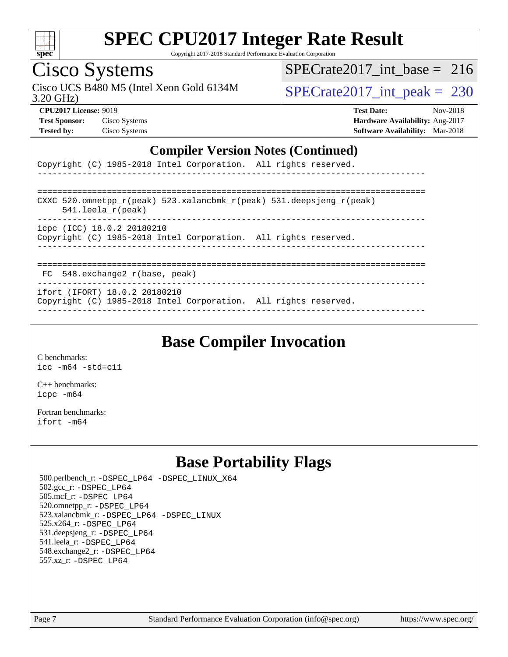

Copyright 2017-2018 Standard Performance Evaluation Corporation

### Cisco Systems

3.20 GHz) Cisco UCS B480 M5 (Intel Xeon Gold 6134M SPECrate 2017\_int\_peak = 230

[SPECrate2017\\_int\\_base =](http://www.spec.org/auto/cpu2017/Docs/result-fields.html#SPECrate2017intbase) 216

**[Test Sponsor:](http://www.spec.org/auto/cpu2017/Docs/result-fields.html#TestSponsor)** Cisco Systems **[Hardware Availability:](http://www.spec.org/auto/cpu2017/Docs/result-fields.html#HardwareAvailability)** Aug-2017

**[CPU2017 License:](http://www.spec.org/auto/cpu2017/Docs/result-fields.html#CPU2017License)** 9019 **[Test Date:](http://www.spec.org/auto/cpu2017/Docs/result-fields.html#TestDate)** Nov-2018 **[Tested by:](http://www.spec.org/auto/cpu2017/Docs/result-fields.html#Testedby)** Cisco Systems **[Software Availability:](http://www.spec.org/auto/cpu2017/Docs/result-fields.html#SoftwareAvailability)** Mar-2018

#### **[Compiler Version Notes \(Continued\)](http://www.spec.org/auto/cpu2017/Docs/result-fields.html#CompilerVersionNotes)**

|  |  | Copyright (C) 1985-2018 Intel Corporation. All rights reserved. |  |  |
|--|--|-----------------------------------------------------------------|--|--|
|  |  |                                                                 |  |  |

| CXXC 520.omnetpp $r(\text{peak})$ 523.xalancbmk $r(\text{peak})$ 531.deepsjeng $r(\text{peak})$<br>$541.$ leela r(peak) |
|-------------------------------------------------------------------------------------------------------------------------|
| icpc (ICC) 18.0.2 20180210<br>Copyright (C) 1985-2018 Intel Corporation. All rights reserved.                           |
|                                                                                                                         |

FC 548.exchange2\_r(base, peak)

------------------------------------------------------------------------------

ifort (IFORT) 18.0.2 20180210

Copyright (C) 1985-2018 Intel Corporation. All rights reserved. ------------------------------------------------------------------------------

### **[Base Compiler Invocation](http://www.spec.org/auto/cpu2017/Docs/result-fields.html#BaseCompilerInvocation)**

[C benchmarks](http://www.spec.org/auto/cpu2017/Docs/result-fields.html#Cbenchmarks): [icc -m64 -std=c11](http://www.spec.org/cpu2017/results/res2018q4/cpu2017-20181113-09817.flags.html#user_CCbase_intel_icc_64bit_c11_33ee0cdaae7deeeab2a9725423ba97205ce30f63b9926c2519791662299b76a0318f32ddfffdc46587804de3178b4f9328c46fa7c2b0cd779d7a61945c91cd35)

[C++ benchmarks:](http://www.spec.org/auto/cpu2017/Docs/result-fields.html#CXXbenchmarks) [icpc -m64](http://www.spec.org/cpu2017/results/res2018q4/cpu2017-20181113-09817.flags.html#user_CXXbase_intel_icpc_64bit_4ecb2543ae3f1412ef961e0650ca070fec7b7afdcd6ed48761b84423119d1bf6bdf5cad15b44d48e7256388bc77273b966e5eb805aefd121eb22e9299b2ec9d9)

[Fortran benchmarks](http://www.spec.org/auto/cpu2017/Docs/result-fields.html#Fortranbenchmarks): [ifort -m64](http://www.spec.org/cpu2017/results/res2018q4/cpu2017-20181113-09817.flags.html#user_FCbase_intel_ifort_64bit_24f2bb282fbaeffd6157abe4f878425411749daecae9a33200eee2bee2fe76f3b89351d69a8130dd5949958ce389cf37ff59a95e7a40d588e8d3a57e0c3fd751)

### **[Base Portability Flags](http://www.spec.org/auto/cpu2017/Docs/result-fields.html#BasePortabilityFlags)**

 500.perlbench\_r: [-DSPEC\\_LP64](http://www.spec.org/cpu2017/results/res2018q4/cpu2017-20181113-09817.flags.html#b500.perlbench_r_basePORTABILITY_DSPEC_LP64) [-DSPEC\\_LINUX\\_X64](http://www.spec.org/cpu2017/results/res2018q4/cpu2017-20181113-09817.flags.html#b500.perlbench_r_baseCPORTABILITY_DSPEC_LINUX_X64) 502.gcc\_r: [-DSPEC\\_LP64](http://www.spec.org/cpu2017/results/res2018q4/cpu2017-20181113-09817.flags.html#suite_basePORTABILITY502_gcc_r_DSPEC_LP64) 505.mcf\_r: [-DSPEC\\_LP64](http://www.spec.org/cpu2017/results/res2018q4/cpu2017-20181113-09817.flags.html#suite_basePORTABILITY505_mcf_r_DSPEC_LP64) 520.omnetpp\_r: [-DSPEC\\_LP64](http://www.spec.org/cpu2017/results/res2018q4/cpu2017-20181113-09817.flags.html#suite_basePORTABILITY520_omnetpp_r_DSPEC_LP64) 523.xalancbmk\_r: [-DSPEC\\_LP64](http://www.spec.org/cpu2017/results/res2018q4/cpu2017-20181113-09817.flags.html#suite_basePORTABILITY523_xalancbmk_r_DSPEC_LP64) [-DSPEC\\_LINUX](http://www.spec.org/cpu2017/results/res2018q4/cpu2017-20181113-09817.flags.html#b523.xalancbmk_r_baseCXXPORTABILITY_DSPEC_LINUX) 525.x264\_r: [-DSPEC\\_LP64](http://www.spec.org/cpu2017/results/res2018q4/cpu2017-20181113-09817.flags.html#suite_basePORTABILITY525_x264_r_DSPEC_LP64) 531.deepsjeng\_r: [-DSPEC\\_LP64](http://www.spec.org/cpu2017/results/res2018q4/cpu2017-20181113-09817.flags.html#suite_basePORTABILITY531_deepsjeng_r_DSPEC_LP64) 541.leela\_r: [-DSPEC\\_LP64](http://www.spec.org/cpu2017/results/res2018q4/cpu2017-20181113-09817.flags.html#suite_basePORTABILITY541_leela_r_DSPEC_LP64) 548.exchange2\_r: [-DSPEC\\_LP64](http://www.spec.org/cpu2017/results/res2018q4/cpu2017-20181113-09817.flags.html#suite_basePORTABILITY548_exchange2_r_DSPEC_LP64) 557.xz\_r: [-DSPEC\\_LP64](http://www.spec.org/cpu2017/results/res2018q4/cpu2017-20181113-09817.flags.html#suite_basePORTABILITY557_xz_r_DSPEC_LP64)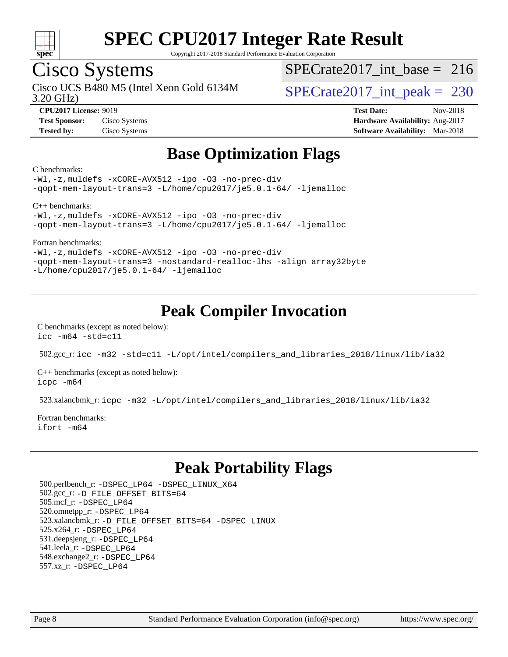

Copyright 2017-2018 Standard Performance Evaluation Corporation

### Cisco Systems

3.20 GHz) Cisco UCS B480 M5 (Intel Xeon Gold 6134M  $SPECrate2017\_int\_peak = 230$ 

 $SPECrate2017\_int\_base = 216$ 

**[CPU2017 License:](http://www.spec.org/auto/cpu2017/Docs/result-fields.html#CPU2017License)** 9019 **[Test Date:](http://www.spec.org/auto/cpu2017/Docs/result-fields.html#TestDate)** Nov-2018 **[Test Sponsor:](http://www.spec.org/auto/cpu2017/Docs/result-fields.html#TestSponsor)** Cisco Systems **[Hardware Availability:](http://www.spec.org/auto/cpu2017/Docs/result-fields.html#HardwareAvailability)** Aug-2017 **[Tested by:](http://www.spec.org/auto/cpu2017/Docs/result-fields.html#Testedby)** Cisco Systems **[Software Availability:](http://www.spec.org/auto/cpu2017/Docs/result-fields.html#SoftwareAvailability)** Mar-2018

### **[Base Optimization Flags](http://www.spec.org/auto/cpu2017/Docs/result-fields.html#BaseOptimizationFlags)**

#### [C benchmarks:](http://www.spec.org/auto/cpu2017/Docs/result-fields.html#Cbenchmarks)

[-Wl,-z,muldefs](http://www.spec.org/cpu2017/results/res2018q4/cpu2017-20181113-09817.flags.html#user_CCbase_link_force_multiple1_b4cbdb97b34bdee9ceefcfe54f4c8ea74255f0b02a4b23e853cdb0e18eb4525ac79b5a88067c842dd0ee6996c24547a27a4b99331201badda8798ef8a743f577) [-xCORE-AVX512](http://www.spec.org/cpu2017/results/res2018q4/cpu2017-20181113-09817.flags.html#user_CCbase_f-xCORE-AVX512) [-ipo](http://www.spec.org/cpu2017/results/res2018q4/cpu2017-20181113-09817.flags.html#user_CCbase_f-ipo) [-O3](http://www.spec.org/cpu2017/results/res2018q4/cpu2017-20181113-09817.flags.html#user_CCbase_f-O3) [-no-prec-div](http://www.spec.org/cpu2017/results/res2018q4/cpu2017-20181113-09817.flags.html#user_CCbase_f-no-prec-div) [-qopt-mem-layout-trans=3](http://www.spec.org/cpu2017/results/res2018q4/cpu2017-20181113-09817.flags.html#user_CCbase_f-qopt-mem-layout-trans_de80db37974c74b1f0e20d883f0b675c88c3b01e9d123adea9b28688d64333345fb62bc4a798493513fdb68f60282f9a726aa07f478b2f7113531aecce732043) [-L/home/cpu2017/je5.0.1-64/](http://www.spec.org/cpu2017/results/res2018q4/cpu2017-20181113-09817.flags.html#user_CCbase_jemalloc_link_path64_8e927a5f1bdac0405e66c637541874330e08086b5e62a1d024bcf3497e3c64fd173c8afb7d1730d51f6da781ef4c439bdab468bb8364cf71435e0c609fac500c) [-ljemalloc](http://www.spec.org/cpu2017/results/res2018q4/cpu2017-20181113-09817.flags.html#user_CCbase_jemalloc_link_lib_d1249b907c500fa1c0672f44f562e3d0f79738ae9e3c4a9c376d49f265a04b9c99b167ecedbf6711b3085be911c67ff61f150a17b3472be731631ba4d0471706)

[C++ benchmarks](http://www.spec.org/auto/cpu2017/Docs/result-fields.html#CXXbenchmarks):

[-Wl,-z,muldefs](http://www.spec.org/cpu2017/results/res2018q4/cpu2017-20181113-09817.flags.html#user_CXXbase_link_force_multiple1_b4cbdb97b34bdee9ceefcfe54f4c8ea74255f0b02a4b23e853cdb0e18eb4525ac79b5a88067c842dd0ee6996c24547a27a4b99331201badda8798ef8a743f577) [-xCORE-AVX512](http://www.spec.org/cpu2017/results/res2018q4/cpu2017-20181113-09817.flags.html#user_CXXbase_f-xCORE-AVX512) [-ipo](http://www.spec.org/cpu2017/results/res2018q4/cpu2017-20181113-09817.flags.html#user_CXXbase_f-ipo) [-O3](http://www.spec.org/cpu2017/results/res2018q4/cpu2017-20181113-09817.flags.html#user_CXXbase_f-O3) [-no-prec-div](http://www.spec.org/cpu2017/results/res2018q4/cpu2017-20181113-09817.flags.html#user_CXXbase_f-no-prec-div) [-qopt-mem-layout-trans=3](http://www.spec.org/cpu2017/results/res2018q4/cpu2017-20181113-09817.flags.html#user_CXXbase_f-qopt-mem-layout-trans_de80db37974c74b1f0e20d883f0b675c88c3b01e9d123adea9b28688d64333345fb62bc4a798493513fdb68f60282f9a726aa07f478b2f7113531aecce732043) [-L/home/cpu2017/je5.0.1-64/](http://www.spec.org/cpu2017/results/res2018q4/cpu2017-20181113-09817.flags.html#user_CXXbase_jemalloc_link_path64_8e927a5f1bdac0405e66c637541874330e08086b5e62a1d024bcf3497e3c64fd173c8afb7d1730d51f6da781ef4c439bdab468bb8364cf71435e0c609fac500c) [-ljemalloc](http://www.spec.org/cpu2017/results/res2018q4/cpu2017-20181113-09817.flags.html#user_CXXbase_jemalloc_link_lib_d1249b907c500fa1c0672f44f562e3d0f79738ae9e3c4a9c376d49f265a04b9c99b167ecedbf6711b3085be911c67ff61f150a17b3472be731631ba4d0471706)

[Fortran benchmarks:](http://www.spec.org/auto/cpu2017/Docs/result-fields.html#Fortranbenchmarks)

[-Wl,-z,muldefs](http://www.spec.org/cpu2017/results/res2018q4/cpu2017-20181113-09817.flags.html#user_FCbase_link_force_multiple1_b4cbdb97b34bdee9ceefcfe54f4c8ea74255f0b02a4b23e853cdb0e18eb4525ac79b5a88067c842dd0ee6996c24547a27a4b99331201badda8798ef8a743f577) [-xCORE-AVX512](http://www.spec.org/cpu2017/results/res2018q4/cpu2017-20181113-09817.flags.html#user_FCbase_f-xCORE-AVX512) [-ipo](http://www.spec.org/cpu2017/results/res2018q4/cpu2017-20181113-09817.flags.html#user_FCbase_f-ipo) [-O3](http://www.spec.org/cpu2017/results/res2018q4/cpu2017-20181113-09817.flags.html#user_FCbase_f-O3) [-no-prec-div](http://www.spec.org/cpu2017/results/res2018q4/cpu2017-20181113-09817.flags.html#user_FCbase_f-no-prec-div) [-qopt-mem-layout-trans=3](http://www.spec.org/cpu2017/results/res2018q4/cpu2017-20181113-09817.flags.html#user_FCbase_f-qopt-mem-layout-trans_de80db37974c74b1f0e20d883f0b675c88c3b01e9d123adea9b28688d64333345fb62bc4a798493513fdb68f60282f9a726aa07f478b2f7113531aecce732043) [-nostandard-realloc-lhs](http://www.spec.org/cpu2017/results/res2018q4/cpu2017-20181113-09817.flags.html#user_FCbase_f_2003_std_realloc_82b4557e90729c0f113870c07e44d33d6f5a304b4f63d4c15d2d0f1fab99f5daaed73bdb9275d9ae411527f28b936061aa8b9c8f2d63842963b95c9dd6426b8a) [-align array32byte](http://www.spec.org/cpu2017/results/res2018q4/cpu2017-20181113-09817.flags.html#user_FCbase_align_array32byte_b982fe038af199962ba9a80c053b8342c548c85b40b8e86eb3cc33dee0d7986a4af373ac2d51c3f7cf710a18d62fdce2948f201cd044323541f22fc0fffc51b6) [-L/home/cpu2017/je5.0.1-64/](http://www.spec.org/cpu2017/results/res2018q4/cpu2017-20181113-09817.flags.html#user_FCbase_jemalloc_link_path64_8e927a5f1bdac0405e66c637541874330e08086b5e62a1d024bcf3497e3c64fd173c8afb7d1730d51f6da781ef4c439bdab468bb8364cf71435e0c609fac500c) [-ljemalloc](http://www.spec.org/cpu2017/results/res2018q4/cpu2017-20181113-09817.flags.html#user_FCbase_jemalloc_link_lib_d1249b907c500fa1c0672f44f562e3d0f79738ae9e3c4a9c376d49f265a04b9c99b167ecedbf6711b3085be911c67ff61f150a17b3472be731631ba4d0471706)

### **[Peak Compiler Invocation](http://www.spec.org/auto/cpu2017/Docs/result-fields.html#PeakCompilerInvocation)**

[C benchmarks \(except as noted below\)](http://www.spec.org/auto/cpu2017/Docs/result-fields.html#Cbenchmarksexceptasnotedbelow): [icc -m64 -std=c11](http://www.spec.org/cpu2017/results/res2018q4/cpu2017-20181113-09817.flags.html#user_CCpeak_intel_icc_64bit_c11_33ee0cdaae7deeeab2a9725423ba97205ce30f63b9926c2519791662299b76a0318f32ddfffdc46587804de3178b4f9328c46fa7c2b0cd779d7a61945c91cd35)

502.gcc\_r: [icc -m32 -std=c11 -L/opt/intel/compilers\\_and\\_libraries\\_2018/linux/lib/ia32](http://www.spec.org/cpu2017/results/res2018q4/cpu2017-20181113-09817.flags.html#user_peakCCLD502_gcc_r_intel_icc_2aadaa14f62c0e1495cde6f74ba3d875dfbad9f2fd73ceb1e5b66a7d4b19dc13cfe8615ba85624bf35f0c003544b7d55013bf72425d956b559f9a2757f69c910)

[C++ benchmarks \(except as noted below\):](http://www.spec.org/auto/cpu2017/Docs/result-fields.html#CXXbenchmarksexceptasnotedbelow) [icpc -m64](http://www.spec.org/cpu2017/results/res2018q4/cpu2017-20181113-09817.flags.html#user_CXXpeak_intel_icpc_64bit_4ecb2543ae3f1412ef961e0650ca070fec7b7afdcd6ed48761b84423119d1bf6bdf5cad15b44d48e7256388bc77273b966e5eb805aefd121eb22e9299b2ec9d9)

523.xalancbmk\_r: [icpc -m32 -L/opt/intel/compilers\\_and\\_libraries\\_2018/linux/lib/ia32](http://www.spec.org/cpu2017/results/res2018q4/cpu2017-20181113-09817.flags.html#user_peakCXXLD523_xalancbmk_r_intel_icpc_49b8c4a2e52517df5e44233d8730ac3dfca5acbb5ef11df3347e50260a55109134bcb7fd2e543798dfd93e66566a4e08776ad3f7d40a4ff4276870c090f61f0e)

[Fortran benchmarks](http://www.spec.org/auto/cpu2017/Docs/result-fields.html#Fortranbenchmarks): [ifort -m64](http://www.spec.org/cpu2017/results/res2018q4/cpu2017-20181113-09817.flags.html#user_FCpeak_intel_ifort_64bit_24f2bb282fbaeffd6157abe4f878425411749daecae9a33200eee2bee2fe76f3b89351d69a8130dd5949958ce389cf37ff59a95e7a40d588e8d3a57e0c3fd751)

### **[Peak Portability Flags](http://www.spec.org/auto/cpu2017/Docs/result-fields.html#PeakPortabilityFlags)**

 500.perlbench\_r: [-DSPEC\\_LP64](http://www.spec.org/cpu2017/results/res2018q4/cpu2017-20181113-09817.flags.html#b500.perlbench_r_peakPORTABILITY_DSPEC_LP64) [-DSPEC\\_LINUX\\_X64](http://www.spec.org/cpu2017/results/res2018q4/cpu2017-20181113-09817.flags.html#b500.perlbench_r_peakCPORTABILITY_DSPEC_LINUX_X64) 502.gcc\_r: [-D\\_FILE\\_OFFSET\\_BITS=64](http://www.spec.org/cpu2017/results/res2018q4/cpu2017-20181113-09817.flags.html#user_peakPORTABILITY502_gcc_r_file_offset_bits_64_5ae949a99b284ddf4e95728d47cb0843d81b2eb0e18bdfe74bbf0f61d0b064f4bda2f10ea5eb90e1dcab0e84dbc592acfc5018bc955c18609f94ddb8d550002c) 505.mcf\_r: [-DSPEC\\_LP64](http://www.spec.org/cpu2017/results/res2018q4/cpu2017-20181113-09817.flags.html#suite_peakPORTABILITY505_mcf_r_DSPEC_LP64) 520.omnetpp\_r: [-DSPEC\\_LP64](http://www.spec.org/cpu2017/results/res2018q4/cpu2017-20181113-09817.flags.html#suite_peakPORTABILITY520_omnetpp_r_DSPEC_LP64) 523.xalancbmk\_r: [-D\\_FILE\\_OFFSET\\_BITS=64](http://www.spec.org/cpu2017/results/res2018q4/cpu2017-20181113-09817.flags.html#user_peakPORTABILITY523_xalancbmk_r_file_offset_bits_64_5ae949a99b284ddf4e95728d47cb0843d81b2eb0e18bdfe74bbf0f61d0b064f4bda2f10ea5eb90e1dcab0e84dbc592acfc5018bc955c18609f94ddb8d550002c) [-DSPEC\\_LINUX](http://www.spec.org/cpu2017/results/res2018q4/cpu2017-20181113-09817.flags.html#b523.xalancbmk_r_peakCXXPORTABILITY_DSPEC_LINUX) 525.x264\_r: [-DSPEC\\_LP64](http://www.spec.org/cpu2017/results/res2018q4/cpu2017-20181113-09817.flags.html#suite_peakPORTABILITY525_x264_r_DSPEC_LP64) 531.deepsjeng\_r: [-DSPEC\\_LP64](http://www.spec.org/cpu2017/results/res2018q4/cpu2017-20181113-09817.flags.html#suite_peakPORTABILITY531_deepsjeng_r_DSPEC_LP64) 541.leela\_r: [-DSPEC\\_LP64](http://www.spec.org/cpu2017/results/res2018q4/cpu2017-20181113-09817.flags.html#suite_peakPORTABILITY541_leela_r_DSPEC_LP64) 548.exchange2\_r: [-DSPEC\\_LP64](http://www.spec.org/cpu2017/results/res2018q4/cpu2017-20181113-09817.flags.html#suite_peakPORTABILITY548_exchange2_r_DSPEC_LP64) 557.xz\_r: [-DSPEC\\_LP64](http://www.spec.org/cpu2017/results/res2018q4/cpu2017-20181113-09817.flags.html#suite_peakPORTABILITY557_xz_r_DSPEC_LP64)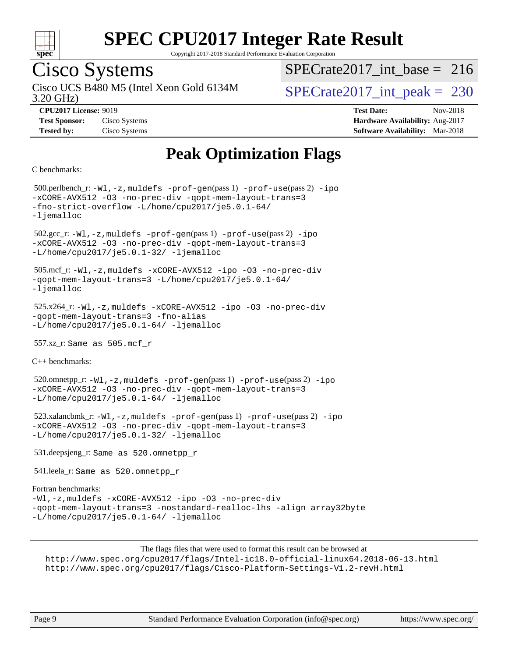

Copyright 2017-2018 Standard Performance Evaluation Corporation

## Cisco Systems

Cisco UCS B480 M5 (Intel Xeon Gold 6134M<br>3.20 GHz)

 $SPECrate2017\_int\_base = 216$ 

 $SPECTate 2017\_int\_peak = 230$ 

**[Tested by:](http://www.spec.org/auto/cpu2017/Docs/result-fields.html#Testedby)** Cisco Systems **[Software Availability:](http://www.spec.org/auto/cpu2017/Docs/result-fields.html#SoftwareAvailability)** Mar-2018

**[CPU2017 License:](http://www.spec.org/auto/cpu2017/Docs/result-fields.html#CPU2017License)** 9019 **[Test Date:](http://www.spec.org/auto/cpu2017/Docs/result-fields.html#TestDate)** Nov-2018 **[Test Sponsor:](http://www.spec.org/auto/cpu2017/Docs/result-fields.html#TestSponsor)** Cisco Systems **[Hardware Availability:](http://www.spec.org/auto/cpu2017/Docs/result-fields.html#HardwareAvailability)** Aug-2017

### **[Peak Optimization Flags](http://www.spec.org/auto/cpu2017/Docs/result-fields.html#PeakOptimizationFlags)**

```
C benchmarks:
```
 500.perlbench\_r: [-Wl,-z,muldefs](http://www.spec.org/cpu2017/results/res2018q4/cpu2017-20181113-09817.flags.html#user_peakEXTRA_LDFLAGS500_perlbench_r_link_force_multiple1_b4cbdb97b34bdee9ceefcfe54f4c8ea74255f0b02a4b23e853cdb0e18eb4525ac79b5a88067c842dd0ee6996c24547a27a4b99331201badda8798ef8a743f577) [-prof-gen](http://www.spec.org/cpu2017/results/res2018q4/cpu2017-20181113-09817.flags.html#user_peakPASS1_CFLAGSPASS1_LDFLAGS500_perlbench_r_prof_gen_5aa4926d6013ddb2a31985c654b3eb18169fc0c6952a63635c234f711e6e63dd76e94ad52365559451ec499a2cdb89e4dc58ba4c67ef54ca681ffbe1461d6b36)(pass 1) [-prof-use](http://www.spec.org/cpu2017/results/res2018q4/cpu2017-20181113-09817.flags.html#user_peakPASS2_CFLAGSPASS2_LDFLAGS500_perlbench_r_prof_use_1a21ceae95f36a2b53c25747139a6c16ca95bd9def2a207b4f0849963b97e94f5260e30a0c64f4bb623698870e679ca08317ef8150905d41bd88c6f78df73f19)(pass 2) [-ipo](http://www.spec.org/cpu2017/results/res2018q4/cpu2017-20181113-09817.flags.html#user_peakPASS1_COPTIMIZEPASS2_COPTIMIZE500_perlbench_r_f-ipo) [-xCORE-AVX512](http://www.spec.org/cpu2017/results/res2018q4/cpu2017-20181113-09817.flags.html#user_peakPASS2_COPTIMIZE500_perlbench_r_f-xCORE-AVX512) [-O3](http://www.spec.org/cpu2017/results/res2018q4/cpu2017-20181113-09817.flags.html#user_peakPASS1_COPTIMIZEPASS2_COPTIMIZE500_perlbench_r_f-O3) [-no-prec-div](http://www.spec.org/cpu2017/results/res2018q4/cpu2017-20181113-09817.flags.html#user_peakPASS1_COPTIMIZEPASS2_COPTIMIZE500_perlbench_r_f-no-prec-div) [-qopt-mem-layout-trans=3](http://www.spec.org/cpu2017/results/res2018q4/cpu2017-20181113-09817.flags.html#user_peakPASS1_COPTIMIZEPASS2_COPTIMIZE500_perlbench_r_f-qopt-mem-layout-trans_de80db37974c74b1f0e20d883f0b675c88c3b01e9d123adea9b28688d64333345fb62bc4a798493513fdb68f60282f9a726aa07f478b2f7113531aecce732043) [-fno-strict-overflow](http://www.spec.org/cpu2017/results/res2018q4/cpu2017-20181113-09817.flags.html#user_peakEXTRA_OPTIMIZE500_perlbench_r_f-fno-strict-overflow) [-L/home/cpu2017/je5.0.1-64/](http://www.spec.org/cpu2017/results/res2018q4/cpu2017-20181113-09817.flags.html#user_peakEXTRA_LIBS500_perlbench_r_jemalloc_link_path64_8e927a5f1bdac0405e66c637541874330e08086b5e62a1d024bcf3497e3c64fd173c8afb7d1730d51f6da781ef4c439bdab468bb8364cf71435e0c609fac500c) [-ljemalloc](http://www.spec.org/cpu2017/results/res2018q4/cpu2017-20181113-09817.flags.html#user_peakEXTRA_LIBS500_perlbench_r_jemalloc_link_lib_d1249b907c500fa1c0672f44f562e3d0f79738ae9e3c4a9c376d49f265a04b9c99b167ecedbf6711b3085be911c67ff61f150a17b3472be731631ba4d0471706) 502.gcc\_r: [-Wl,-z,muldefs](http://www.spec.org/cpu2017/results/res2018q4/cpu2017-20181113-09817.flags.html#user_peakEXTRA_LDFLAGS502_gcc_r_link_force_multiple1_b4cbdb97b34bdee9ceefcfe54f4c8ea74255f0b02a4b23e853cdb0e18eb4525ac79b5a88067c842dd0ee6996c24547a27a4b99331201badda8798ef8a743f577) [-prof-gen](http://www.spec.org/cpu2017/results/res2018q4/cpu2017-20181113-09817.flags.html#user_peakPASS1_CFLAGSPASS1_LDFLAGS502_gcc_r_prof_gen_5aa4926d6013ddb2a31985c654b3eb18169fc0c6952a63635c234f711e6e63dd76e94ad52365559451ec499a2cdb89e4dc58ba4c67ef54ca681ffbe1461d6b36)(pass 1) [-prof-use](http://www.spec.org/cpu2017/results/res2018q4/cpu2017-20181113-09817.flags.html#user_peakPASS2_CFLAGSPASS2_LDFLAGS502_gcc_r_prof_use_1a21ceae95f36a2b53c25747139a6c16ca95bd9def2a207b4f0849963b97e94f5260e30a0c64f4bb623698870e679ca08317ef8150905d41bd88c6f78df73f19)(pass 2) [-ipo](http://www.spec.org/cpu2017/results/res2018q4/cpu2017-20181113-09817.flags.html#user_peakPASS1_COPTIMIZEPASS2_COPTIMIZE502_gcc_r_f-ipo) [-xCORE-AVX512](http://www.spec.org/cpu2017/results/res2018q4/cpu2017-20181113-09817.flags.html#user_peakPASS2_COPTIMIZE502_gcc_r_f-xCORE-AVX512) [-O3](http://www.spec.org/cpu2017/results/res2018q4/cpu2017-20181113-09817.flags.html#user_peakPASS1_COPTIMIZEPASS2_COPTIMIZE502_gcc_r_f-O3) [-no-prec-div](http://www.spec.org/cpu2017/results/res2018q4/cpu2017-20181113-09817.flags.html#user_peakPASS1_COPTIMIZEPASS2_COPTIMIZE502_gcc_r_f-no-prec-div) [-qopt-mem-layout-trans=3](http://www.spec.org/cpu2017/results/res2018q4/cpu2017-20181113-09817.flags.html#user_peakPASS1_COPTIMIZEPASS2_COPTIMIZE502_gcc_r_f-qopt-mem-layout-trans_de80db37974c74b1f0e20d883f0b675c88c3b01e9d123adea9b28688d64333345fb62bc4a798493513fdb68f60282f9a726aa07f478b2f7113531aecce732043) [-L/home/cpu2017/je5.0.1-32/](http://www.spec.org/cpu2017/results/res2018q4/cpu2017-20181113-09817.flags.html#user_peakEXTRA_LIBS502_gcc_r_jemalloc_link_path32_395839964bb6e7d127dfa41a70bc909a71494bc32f82a1f18d87c6546a5f35ea9c5ad3c111b30f9a5397a6f43b4f43a41cfbf7d188da9198ed16c21920a4a794) [-ljemalloc](http://www.spec.org/cpu2017/results/res2018q4/cpu2017-20181113-09817.flags.html#user_peakEXTRA_LIBS502_gcc_r_jemalloc_link_lib_d1249b907c500fa1c0672f44f562e3d0f79738ae9e3c4a9c376d49f265a04b9c99b167ecedbf6711b3085be911c67ff61f150a17b3472be731631ba4d0471706) 505.mcf\_r: [-Wl,-z,muldefs](http://www.spec.org/cpu2017/results/res2018q4/cpu2017-20181113-09817.flags.html#user_peakEXTRA_LDFLAGS505_mcf_r_link_force_multiple1_b4cbdb97b34bdee9ceefcfe54f4c8ea74255f0b02a4b23e853cdb0e18eb4525ac79b5a88067c842dd0ee6996c24547a27a4b99331201badda8798ef8a743f577) [-xCORE-AVX512](http://www.spec.org/cpu2017/results/res2018q4/cpu2017-20181113-09817.flags.html#user_peakCOPTIMIZE505_mcf_r_f-xCORE-AVX512) [-ipo](http://www.spec.org/cpu2017/results/res2018q4/cpu2017-20181113-09817.flags.html#user_peakCOPTIMIZE505_mcf_r_f-ipo) [-O3](http://www.spec.org/cpu2017/results/res2018q4/cpu2017-20181113-09817.flags.html#user_peakCOPTIMIZE505_mcf_r_f-O3) [-no-prec-div](http://www.spec.org/cpu2017/results/res2018q4/cpu2017-20181113-09817.flags.html#user_peakCOPTIMIZE505_mcf_r_f-no-prec-div) [-qopt-mem-layout-trans=3](http://www.spec.org/cpu2017/results/res2018q4/cpu2017-20181113-09817.flags.html#user_peakCOPTIMIZE505_mcf_r_f-qopt-mem-layout-trans_de80db37974c74b1f0e20d883f0b675c88c3b01e9d123adea9b28688d64333345fb62bc4a798493513fdb68f60282f9a726aa07f478b2f7113531aecce732043) [-L/home/cpu2017/je5.0.1-64/](http://www.spec.org/cpu2017/results/res2018q4/cpu2017-20181113-09817.flags.html#user_peakEXTRA_LIBS505_mcf_r_jemalloc_link_path64_8e927a5f1bdac0405e66c637541874330e08086b5e62a1d024bcf3497e3c64fd173c8afb7d1730d51f6da781ef4c439bdab468bb8364cf71435e0c609fac500c) [-ljemalloc](http://www.spec.org/cpu2017/results/res2018q4/cpu2017-20181113-09817.flags.html#user_peakEXTRA_LIBS505_mcf_r_jemalloc_link_lib_d1249b907c500fa1c0672f44f562e3d0f79738ae9e3c4a9c376d49f265a04b9c99b167ecedbf6711b3085be911c67ff61f150a17b3472be731631ba4d0471706) 525.x264\_r: [-Wl,-z,muldefs](http://www.spec.org/cpu2017/results/res2018q4/cpu2017-20181113-09817.flags.html#user_peakEXTRA_LDFLAGS525_x264_r_link_force_multiple1_b4cbdb97b34bdee9ceefcfe54f4c8ea74255f0b02a4b23e853cdb0e18eb4525ac79b5a88067c842dd0ee6996c24547a27a4b99331201badda8798ef8a743f577) [-xCORE-AVX512](http://www.spec.org/cpu2017/results/res2018q4/cpu2017-20181113-09817.flags.html#user_peakCOPTIMIZE525_x264_r_f-xCORE-AVX512) [-ipo](http://www.spec.org/cpu2017/results/res2018q4/cpu2017-20181113-09817.flags.html#user_peakCOPTIMIZE525_x264_r_f-ipo) [-O3](http://www.spec.org/cpu2017/results/res2018q4/cpu2017-20181113-09817.flags.html#user_peakCOPTIMIZE525_x264_r_f-O3) [-no-prec-div](http://www.spec.org/cpu2017/results/res2018q4/cpu2017-20181113-09817.flags.html#user_peakCOPTIMIZE525_x264_r_f-no-prec-div) [-qopt-mem-layout-trans=3](http://www.spec.org/cpu2017/results/res2018q4/cpu2017-20181113-09817.flags.html#user_peakCOPTIMIZE525_x264_r_f-qopt-mem-layout-trans_de80db37974c74b1f0e20d883f0b675c88c3b01e9d123adea9b28688d64333345fb62bc4a798493513fdb68f60282f9a726aa07f478b2f7113531aecce732043) [-fno-alias](http://www.spec.org/cpu2017/results/res2018q4/cpu2017-20181113-09817.flags.html#user_peakEXTRA_OPTIMIZE525_x264_r_f-no-alias_77dbac10d91cbfe898fbf4a29d1b29b694089caa623bdd1baccc9957d4edbe8d106c0b357e2748a65b44fc9e83d78098bb898077f3fe92f9faf24f7bd4a07ed7) [-L/home/cpu2017/je5.0.1-64/](http://www.spec.org/cpu2017/results/res2018q4/cpu2017-20181113-09817.flags.html#user_peakEXTRA_LIBS525_x264_r_jemalloc_link_path64_8e927a5f1bdac0405e66c637541874330e08086b5e62a1d024bcf3497e3c64fd173c8afb7d1730d51f6da781ef4c439bdab468bb8364cf71435e0c609fac500c) [-ljemalloc](http://www.spec.org/cpu2017/results/res2018q4/cpu2017-20181113-09817.flags.html#user_peakEXTRA_LIBS525_x264_r_jemalloc_link_lib_d1249b907c500fa1c0672f44f562e3d0f79738ae9e3c4a9c376d49f265a04b9c99b167ecedbf6711b3085be911c67ff61f150a17b3472be731631ba4d0471706) 557.xz\_r: Same as 505.mcf\_r [C++ benchmarks](http://www.spec.org/auto/cpu2017/Docs/result-fields.html#CXXbenchmarks): 520.omnetpp\_r: [-Wl,-z,muldefs](http://www.spec.org/cpu2017/results/res2018q4/cpu2017-20181113-09817.flags.html#user_peakEXTRA_LDFLAGS520_omnetpp_r_link_force_multiple1_b4cbdb97b34bdee9ceefcfe54f4c8ea74255f0b02a4b23e853cdb0e18eb4525ac79b5a88067c842dd0ee6996c24547a27a4b99331201badda8798ef8a743f577) [-prof-gen](http://www.spec.org/cpu2017/results/res2018q4/cpu2017-20181113-09817.flags.html#user_peakPASS1_CXXFLAGSPASS1_LDFLAGS520_omnetpp_r_prof_gen_5aa4926d6013ddb2a31985c654b3eb18169fc0c6952a63635c234f711e6e63dd76e94ad52365559451ec499a2cdb89e4dc58ba4c67ef54ca681ffbe1461d6b36)(pass 1) [-prof-use](http://www.spec.org/cpu2017/results/res2018q4/cpu2017-20181113-09817.flags.html#user_peakPASS2_CXXFLAGSPASS2_LDFLAGS520_omnetpp_r_prof_use_1a21ceae95f36a2b53c25747139a6c16ca95bd9def2a207b4f0849963b97e94f5260e30a0c64f4bb623698870e679ca08317ef8150905d41bd88c6f78df73f19)(pass 2) [-ipo](http://www.spec.org/cpu2017/results/res2018q4/cpu2017-20181113-09817.flags.html#user_peakPASS1_CXXOPTIMIZEPASS2_CXXOPTIMIZE520_omnetpp_r_f-ipo) [-xCORE-AVX512](http://www.spec.org/cpu2017/results/res2018q4/cpu2017-20181113-09817.flags.html#user_peakPASS2_CXXOPTIMIZE520_omnetpp_r_f-xCORE-AVX512) [-O3](http://www.spec.org/cpu2017/results/res2018q4/cpu2017-20181113-09817.flags.html#user_peakPASS1_CXXOPTIMIZEPASS2_CXXOPTIMIZE520_omnetpp_r_f-O3) [-no-prec-div](http://www.spec.org/cpu2017/results/res2018q4/cpu2017-20181113-09817.flags.html#user_peakPASS1_CXXOPTIMIZEPASS2_CXXOPTIMIZE520_omnetpp_r_f-no-prec-div) [-qopt-mem-layout-trans=3](http://www.spec.org/cpu2017/results/res2018q4/cpu2017-20181113-09817.flags.html#user_peakPASS1_CXXOPTIMIZEPASS2_CXXOPTIMIZE520_omnetpp_r_f-qopt-mem-layout-trans_de80db37974c74b1f0e20d883f0b675c88c3b01e9d123adea9b28688d64333345fb62bc4a798493513fdb68f60282f9a726aa07f478b2f7113531aecce732043) [-L/home/cpu2017/je5.0.1-64/](http://www.spec.org/cpu2017/results/res2018q4/cpu2017-20181113-09817.flags.html#user_peakEXTRA_LIBS520_omnetpp_r_jemalloc_link_path64_8e927a5f1bdac0405e66c637541874330e08086b5e62a1d024bcf3497e3c64fd173c8afb7d1730d51f6da781ef4c439bdab468bb8364cf71435e0c609fac500c) [-ljemalloc](http://www.spec.org/cpu2017/results/res2018q4/cpu2017-20181113-09817.flags.html#user_peakEXTRA_LIBS520_omnetpp_r_jemalloc_link_lib_d1249b907c500fa1c0672f44f562e3d0f79738ae9e3c4a9c376d49f265a04b9c99b167ecedbf6711b3085be911c67ff61f150a17b3472be731631ba4d0471706) 523.xalancbmk\_r: [-Wl,-z,muldefs](http://www.spec.org/cpu2017/results/res2018q4/cpu2017-20181113-09817.flags.html#user_peakEXTRA_LDFLAGS523_xalancbmk_r_link_force_multiple1_b4cbdb97b34bdee9ceefcfe54f4c8ea74255f0b02a4b23e853cdb0e18eb4525ac79b5a88067c842dd0ee6996c24547a27a4b99331201badda8798ef8a743f577) [-prof-gen](http://www.spec.org/cpu2017/results/res2018q4/cpu2017-20181113-09817.flags.html#user_peakPASS1_CXXFLAGSPASS1_LDFLAGS523_xalancbmk_r_prof_gen_5aa4926d6013ddb2a31985c654b3eb18169fc0c6952a63635c234f711e6e63dd76e94ad52365559451ec499a2cdb89e4dc58ba4c67ef54ca681ffbe1461d6b36)(pass 1) [-prof-use](http://www.spec.org/cpu2017/results/res2018q4/cpu2017-20181113-09817.flags.html#user_peakPASS2_CXXFLAGSPASS2_LDFLAGS523_xalancbmk_r_prof_use_1a21ceae95f36a2b53c25747139a6c16ca95bd9def2a207b4f0849963b97e94f5260e30a0c64f4bb623698870e679ca08317ef8150905d41bd88c6f78df73f19)(pass 2) [-ipo](http://www.spec.org/cpu2017/results/res2018q4/cpu2017-20181113-09817.flags.html#user_peakPASS1_CXXOPTIMIZEPASS2_CXXOPTIMIZE523_xalancbmk_r_f-ipo) [-xCORE-AVX512](http://www.spec.org/cpu2017/results/res2018q4/cpu2017-20181113-09817.flags.html#user_peakPASS2_CXXOPTIMIZE523_xalancbmk_r_f-xCORE-AVX512) [-O3](http://www.spec.org/cpu2017/results/res2018q4/cpu2017-20181113-09817.flags.html#user_peakPASS1_CXXOPTIMIZEPASS2_CXXOPTIMIZE523_xalancbmk_r_f-O3) [-no-prec-div](http://www.spec.org/cpu2017/results/res2018q4/cpu2017-20181113-09817.flags.html#user_peakPASS1_CXXOPTIMIZEPASS2_CXXOPTIMIZE523_xalancbmk_r_f-no-prec-div) [-qopt-mem-layout-trans=3](http://www.spec.org/cpu2017/results/res2018q4/cpu2017-20181113-09817.flags.html#user_peakPASS1_CXXOPTIMIZEPASS2_CXXOPTIMIZE523_xalancbmk_r_f-qopt-mem-layout-trans_de80db37974c74b1f0e20d883f0b675c88c3b01e9d123adea9b28688d64333345fb62bc4a798493513fdb68f60282f9a726aa07f478b2f7113531aecce732043) [-L/home/cpu2017/je5.0.1-32/](http://www.spec.org/cpu2017/results/res2018q4/cpu2017-20181113-09817.flags.html#user_peakEXTRA_LIBS523_xalancbmk_r_jemalloc_link_path32_395839964bb6e7d127dfa41a70bc909a71494bc32f82a1f18d87c6546a5f35ea9c5ad3c111b30f9a5397a6f43b4f43a41cfbf7d188da9198ed16c21920a4a794) [-ljemalloc](http://www.spec.org/cpu2017/results/res2018q4/cpu2017-20181113-09817.flags.html#user_peakEXTRA_LIBS523_xalancbmk_r_jemalloc_link_lib_d1249b907c500fa1c0672f44f562e3d0f79738ae9e3c4a9c376d49f265a04b9c99b167ecedbf6711b3085be911c67ff61f150a17b3472be731631ba4d0471706) 531.deepsjeng\_r: Same as 520.omnetpp\_r 541.leela\_r: Same as 520.omnetpp\_r [Fortran benchmarks:](http://www.spec.org/auto/cpu2017/Docs/result-fields.html#Fortranbenchmarks) [-Wl,-z,muldefs](http://www.spec.org/cpu2017/results/res2018q4/cpu2017-20181113-09817.flags.html#user_FCpeak_link_force_multiple1_b4cbdb97b34bdee9ceefcfe54f4c8ea74255f0b02a4b23e853cdb0e18eb4525ac79b5a88067c842dd0ee6996c24547a27a4b99331201badda8798ef8a743f577) [-xCORE-AVX512](http://www.spec.org/cpu2017/results/res2018q4/cpu2017-20181113-09817.flags.html#user_FCpeak_f-xCORE-AVX512) [-ipo](http://www.spec.org/cpu2017/results/res2018q4/cpu2017-20181113-09817.flags.html#user_FCpeak_f-ipo) [-O3](http://www.spec.org/cpu2017/results/res2018q4/cpu2017-20181113-09817.flags.html#user_FCpeak_f-O3) [-no-prec-div](http://www.spec.org/cpu2017/results/res2018q4/cpu2017-20181113-09817.flags.html#user_FCpeak_f-no-prec-div) [-qopt-mem-layout-trans=3](http://www.spec.org/cpu2017/results/res2018q4/cpu2017-20181113-09817.flags.html#user_FCpeak_f-qopt-mem-layout-trans_de80db37974c74b1f0e20d883f0b675c88c3b01e9d123adea9b28688d64333345fb62bc4a798493513fdb68f60282f9a726aa07f478b2f7113531aecce732043) [-nostandard-realloc-lhs](http://www.spec.org/cpu2017/results/res2018q4/cpu2017-20181113-09817.flags.html#user_FCpeak_f_2003_std_realloc_82b4557e90729c0f113870c07e44d33d6f5a304b4f63d4c15d2d0f1fab99f5daaed73bdb9275d9ae411527f28b936061aa8b9c8f2d63842963b95c9dd6426b8a) [-align array32byte](http://www.spec.org/cpu2017/results/res2018q4/cpu2017-20181113-09817.flags.html#user_FCpeak_align_array32byte_b982fe038af199962ba9a80c053b8342c548c85b40b8e86eb3cc33dee0d7986a4af373ac2d51c3f7cf710a18d62fdce2948f201cd044323541f22fc0fffc51b6) [-L/home/cpu2017/je5.0.1-64/](http://www.spec.org/cpu2017/results/res2018q4/cpu2017-20181113-09817.flags.html#user_FCpeak_jemalloc_link_path64_8e927a5f1bdac0405e66c637541874330e08086b5e62a1d024bcf3497e3c64fd173c8afb7d1730d51f6da781ef4c439bdab468bb8364cf71435e0c609fac500c) [-ljemalloc](http://www.spec.org/cpu2017/results/res2018q4/cpu2017-20181113-09817.flags.html#user_FCpeak_jemalloc_link_lib_d1249b907c500fa1c0672f44f562e3d0f79738ae9e3c4a9c376d49f265a04b9c99b167ecedbf6711b3085be911c67ff61f150a17b3472be731631ba4d0471706)

The flags files that were used to format this result can be browsed at

<http://www.spec.org/cpu2017/flags/Intel-ic18.0-official-linux64.2018-06-13.html> <http://www.spec.org/cpu2017/flags/Cisco-Platform-Settings-V1.2-revH.html>